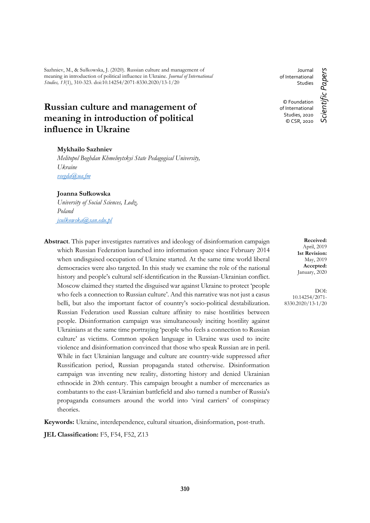Sazhniev, M., & Sułkowska, J. (2020). Russian culture and management of meaning in introduction of political influence in Ukraine. *Journal of International Studies, 13*(1), 310-323. doi:10.14254/2071-8330.2020/13-1/20

# **Russian culture and management of meaning in introduction of political influence in Ukraine**

### **Mykhailo Sazhniev**

*Melitopol Boghdan Khmelnytskyi State Pedagogical University, Ukraine [vsegda@ua.fm](mailto:vsegda@ua.fm)*

### **Joanna Sułkowska**

*University of Social Sciences, Lodz, Poland [jsulkowska@san.edu.pl](mailto:jsulkowska@san.edu.pl)*

**Abstract**. This paper investigates narratives and ideology of disinformation campaign which Russian Federation launched into information space since February 2014 when undisguised occupation of Ukraine started. At the same time world liberal democracies were also targeted. In this study we examine the role of the national history and people's cultural self-identification in the Russian-Ukrainian conflict. Moscow claimed they started the disguised war against Ukraine to protect 'people who feels a connection to Russian culture'. And this narrative was not just a casus belli, but also the important factor of country's socio-political destabilization. Russian Federation used Russian culture affinity to raise hostilities between people. Disinformation campaign was simultaneously inciting hostility against Ukrainians at the same time portraying 'people who feels a connection to Russian culture' as victims. Common spoken language in Ukraine was used to incite violence and disinformation convinced that those who speak Russian are in peril. While in fact Ukrainian language and culture are country-wide suppressed after Russification period, Russian propaganda stated otherwise. Disinformation campaign was inventing new reality, distorting history and denied Ukrainian ethnocide in 20th century. This campaign brought a number of mercenaries as combatants to the east-Ukrainian battlefield and also turned a number of Russia's propaganda consumers around the world into 'viral carriers' of conspiracy theories.

**Keywords:** Ukraine, interdependence, cultural situation, disinformation, post-truth.

**JEL Classification:** F5, F54, F52, Z13

Journal of International **Studies** © Foundation

Scientific Papers *Scientific Papers* of International Studies, 2020 © CSR, 2020

> **Received:** April, 2019 **1st Revision:** May, 2019 **Accepted:** January, 2020

 $DOI<sup>2</sup>$ 10.14254/2071- 8330.2020/13-1/20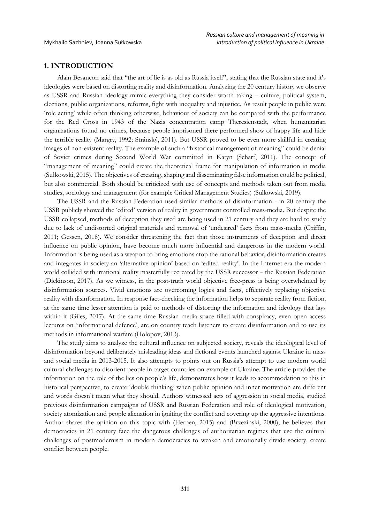### **1. INTRODUCTION**

Alain Besancon said that "the art of lie is as old as Russia itself", stating that the Russian state and it's ideologies were based on distorting reality and disinformation. Analyzing the 20 century history we observe as USSR and Russian ideology mimic everything they consider worth taking – culture, political system, elections, public organizations, reforms, fight with inequality and injustice. As result people in public were 'role acting' while often thinking otherwise, behaviour of society can be compared with the performance for the Red Cross in 1943 of the Nazis concentration camp Theresienstadt, when humanitarian organizations found no crimes, because people imprisoned there performed show of happy life and hide the terrible reality (Margry, 1992; Stránský, 2011). But USSR proved to be even more skillful in creating images of non-existent reality. The example of such a "historical management of meaning" could be denial of Soviet crimes during Second World War committed in Katyn (Scharf, 2011). The concept of "management of meaning" could create the theoretical frame for manipulation of information in media (Sułkowski, 2015). The objectives of creating, shaping and disseminating false information could be political, but also commercial. Both should be criticized with use of concepts and methods taken out from media studies, sociology and management (for example Critical Management Studies) (Sulkowski, 2019).

The USSR and the Russian Federation used similar methods of disinformation - in 20 century the USSR publicly showed the 'edited' version of reality in government controlled mass-media. But despite the USSR collapsed, methods of deception they used are being used in 21 century and they are hard to study due to lack of undistorted original materials and removal of 'undesired' facts from mass-media (Griffin, 2011; Gessen, 2018). We consider threatening the fact that those instruments of deception and direct influence on public opinion, have become much more influential and dangerous in the modern world. Information is being used as a weapon to bring emotions atop the rational behavior, disinformation creates and integrates in society an 'alternative opinion' based on 'edited reality'. In the Internet era the modern world collided with irrational reality masterfully recreated by the USSR successor – the Russian Federation (Dickinson, 2017). As we witness, in the post-truth world objective free-press is being overwhelmed by disinformation sources. Vivid emotions are overcoming logics and facts, effectively replacing objective reality with disinformation. In response fact-checking the information helps to separate reality from fiction, at the same time lesser attention is paid to methods of distorting the information and ideology that lays within it (Giles, 2017). At the same time Russian media space filled with conspiracy, even open access lectures on 'informational defence', are on country teach listeners to create disinformation and to use its methods in informational warfare (Holopov, 2013).

The study aims to analyze the cultural influence on subjected society, reveals the ideological level of disinformation beyond deliberately misleading ideas and fictional events launched against Ukraine in mass and social media in 2013-2015. It also attempts to points out on Russia's attempt to use modern world cultural challenges to disorient people in target countries on example of Ukraine. The article provides the information on the role of the lies on people's life, demonstrates how it leads to accommodation to this in historical perspective, to create 'double thinking' when public opinion and inner motivation are different and words doesn't mean what they should. Authors witnessed acts of aggression in social media, studied previous disinformation campaigns of USSR and Russian Federation and role of ideological motivation, society atomization and people alienation in igniting the conflict and covering up the aggressive intentions. Author shares the opinion on this topic with (Herpen, 2015) and (Brzezinski, 2000), he believes that democracies in 21 century face the dangerous challenges of authoritarian regimes that use the cultural challenges of postmodernism in modern democracies to weaken and emotionally divide society, create conflict between people.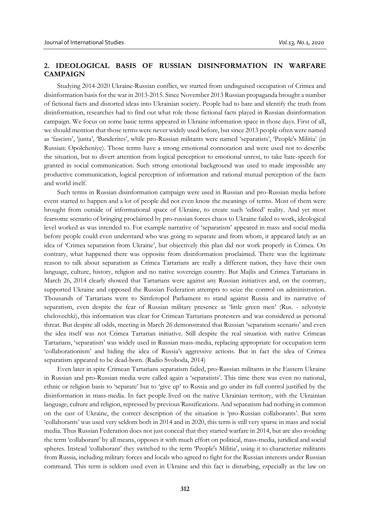# **2. IDEOLOGICAL BASIS OF RUSSIAN DISINFORMATION IN WARFARE CAMPAIGN**

Studying 2014-2020 Ukraine-Russian conflict, we started from undisguised occupation of Crimea and disinformation basis for the war in 2013-2015. Since November 2013 Russian propaganda brought a number of fictional facts and distorted ideas into Ukrainian society. People had to bare and identify the truth from disinformation, researches had to find out what role those fictional facts played in Russian disinformation campaign. We focus on some basic terms appeared in Ukraine information space in those days. First of all, we should mention that those terms were never widely used before, but since 2013 people often were named as 'fascists', 'junta', 'Banderites', while pro-Russian militants were named 'separatists', 'People's Militia' (in Russian: Opolcheniye). Those terms have a strong emotional connotation and were used not to describe the situation, but to divert attention from logical perception to emotional unrest, to take hate-speech for granted in social communication. Such strong emotional background was used to made impossible any productive communication, logical perception of information and rational mutual perception of the facts and world itself.

Such terms in Russian disinformation campaign were used in Russian and pro-Russian media before event started to happen and a lot of people did not even know the meanings of terms. Most of them were brought from outside of informational space of Ukraine, to create such 'edited' reality. And yet most fearsome scenario of bringing proclaimed by pro-russian forces chaos to Ukraine failed to work, ideological level worked as was intended to. For example narrative of 'separatism' appeared in mass and social media before people could even understand who was going to separate and from whom, it appeared lately as an idea of 'Crimea separation from Ukraine', but objectively this plan did not work properly in Crimea. On contrary, what happened there was opposite from disinformation proclaimed. There was the legitimate reason to talk about separatism as Crimea Tartarians are really a different nation, they have their own language, culture, history, religion and no native sovereign country. But Majlis and Crimea Tartarians in March 26, 2014 clearly showed that Tartarians were against any Russian initiatives and, on the contrary, supported Ukraine and opposed the Russian Federation attempts to seize the control on administration. Thousands of Tartarians went to Simferopol Parliament to stand against Russia and its narrative of separatism, even despite the fear of Russian military presence as 'little green men' (Rus. - zelyonyie chelovechki), this information was clear for Crimean Tartarians protesters and was considered as personal threat. But despite all odds, meeting in March 26 demonstrated that Russian 'separatism scenario' and even the idea itself was not Crimea Tartarian initiative. Still despite the real situation with native Crimean Tartarians, 'separatism' was widely used in Russian mass-media, replacing appropriate for occupation term 'collaborationism' and hiding the idea of Russia's aggressive actions. But in fact the idea of Crimea separatism appeared to be dead-born. (Radio Svoboda, 2014)

Even later in spite Crimean Tartarians separatism failed, pro-Russian militants in the Eastern Ukraine in Russian and pro-Russian media were called again a 'separatists'. This time there was even no national, ethnic or religion basis to 'separate' but to 'give up' to Russia and go under its full control justified by the disinformation in mass-media. In fact people lived on the native Ukrainian territory, with the Ukrainian language, culture and religion, repressed by previous Russifications. And separatism had nothing in common on the east of Ukraine, the correct description of the situation is 'pro-Russian collaborants'. But term 'collaborants' was used very seldom both in 2014 and in 2020, this term is still very sparse in mass and social media. Thus Russian Federation does not just conceal that they started warfare in 2014, but are also avoiding the term 'collaborant' by all means, opposes it with much effort on political, mass-media, juridical and social spheres. Instead 'collaborant' they switched to the term 'People's Militia', using it to characterize militants from Russia, including military forces and locals who agreed to fight for the Russian interests under Russian command. This term is seldom used even in Ukraine and this fact is disturbing, especially as the law on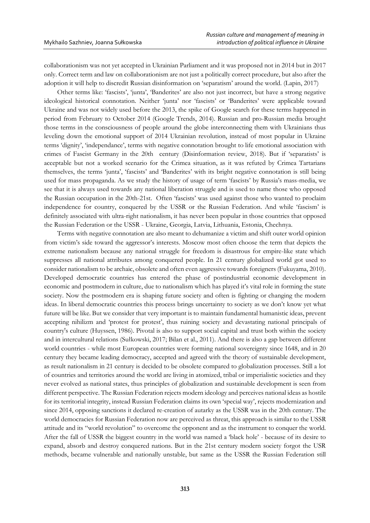collaborationism was not yet accepted in Ukrainian Parliament and it was proposed not in 2014 but in 2017 only. Correct term and law on collaborationism are not just a politically correct procedure, but also after the adoption it will help to discredit Russian disinformation on 'separatism' around the world. (Lapin, 2017)

Other terms like: 'fascists', 'junta', 'Banderites' are also not just incorrect, but have a strong negative ideological historical connotation. Neither 'junta' nor 'fascists' or 'Banderites' were applicable toward Ukraine and was not widely used before the 2013, the spike of Google search for these terms happened in period from February to October 2014 (Google Trends, 2014). Russian and pro-Russian media brought those terms in the consciousness of people around the globe interconnecting them with Ukrainians thus leveling down the emotional support of 2014 Ukrainian revolution, instead of most popular in Ukraine terms 'dignity', 'independance', terms with negative connotation brought to life emotional association with crimes of Fascist Germany in the 20th century (Disinformation review, 2018). But if 'separatists' is acceptable but not a worked scenario for the Crimea situation, as it was refuted by Crimea Tartarians themselves, the terms 'junta', 'fascists' and 'Banderites' with its bright negative connotation is still being used for mass propaganda. As we study the history of usage of term 'fascists' by Russia's mass-media, we see that it is always used towards any national liberation struggle and is used to name those who opposed the Russian occupation in the 20th-21st. Often 'fascists' was used against those who wanted to proclaim independence for country, conquered by the USSR or the Russian Federation. And while 'fascism' is definitely associated with ultra-right nationalism, it has never been popular in those countries that opposed the Russian Federation or the USSR - Ukraine, Georgia, Latvia, Lithuania, Estonia, Chechnya.

Terms with negative connotation are also meant to dehumanize a victim and shift outer world opinion from victim's side toward the aggressor's interests. Moscow most often choose the term that depicts the extreme nationalism because any national struggle for freedom is disastrous for empire-like state which suppresses all national attributes among conquered people. In 21 century globalized world got used to consider nationalism to be archaic, obsolete and often even aggressive towards foreigners (Fukuyama, 2010). Developed democratic countries has entered the phase of postindustrial economic development in economic and postmodern in culture, due to nationalism which has played it's vital role in forming the state society. Now the postmodern era is shaping future society and often is fighting or changing the modern ideas. In liberal democratic countries this process brings uncertainty to society as we don't know yet what future will be like. But we consider that very important is to maintain fundamental humanistic ideas, prevent accepting nihilizm and 'protest for protest', thus ruining society and devastating national principals of country's culture (Huyssen, 1986). Pivotal is also to support social capital and trust both within the society and in intercultural relations (Sułkowski, 2017; Bilan et al., 2011). And there is also a gap between different world countries - while most European countries were forming national sovereignty since 1648, and in 20 century they became leading democracy, accepted and agreed with the theory of sustainable development, as result nationalism in 21 century is decided to be obsolete compared to globalization processes. Still a lot of countries and territories around the world are living in atomized, tribal or imperialistic societies and they never evolved as national states, thus principles of globalization and sustainable development is seen from different perspective. The Russian Federation rejects modern ideology and perceives national ideas as hostile for its territorial integrity, instead Russian Federation claims its own 'special way', rejects modernization and since 2014, opposing sanctions it declared re-creation of autarky as the USSR was in the 20th century. The world democracies for Russian Federation now are perceived as threat, this approach is similar to the USSR attitude and its "world revolution" to overcome the opponent and as the instrument to conquer the world. After the fall of USSR the biggest country in the world was named a 'black hole' - because of its desire to expand, absorb and destroy conquered nations. But in the 21st century modern society forgot the USR methods, became vulnerable and nationally unstable, but same as the USSR the Russian Federation still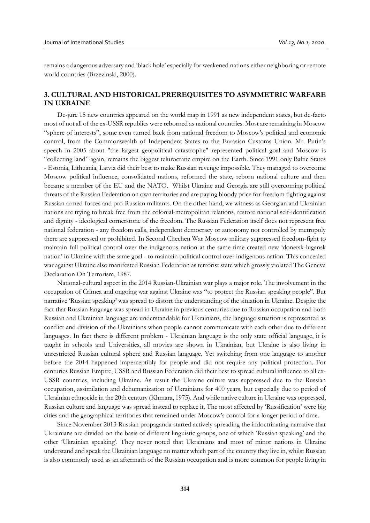remains a dangerous adversary and 'black hole' especially for weakened nations either neighboring or remote world countries (Brzezinski, 2000).

# **3. CULTURAL AND HISTORICAL PREREQUISITES TO ASYMMETRIC WARFARE IN UKRAINE**

De-jure 15 new countries appeared on the world map in 1991 as new independent states, but de-facto most of not all of the ex-USSR republics were reborned as national countries. Most are remaining in Moscow "sphere of interests", some even turned back from national freedom to Moscow's political and economic control, from the Commonwealth of Independent States to the Eurasian Customs Union. Mr. Putin's speech in 2005 about "the largest geopolitical catastrophe" represented political goal and Moscow is "collecting land" again, remains the biggest telurocratic empire on the Earth. Since 1991 only Baltic States - Estonia, Lithuania, Latvia did their best to make Russian revenge impossible. They managed to overcome Moscow political influence, consolidated nations, reformed the state, reborn national culture and then became a member of the EU and the NATO. Whilst Ukraine and Georgia are still overcoming political threats of the Russian Federation on own territories and are paying bloody price for freedom fighting against Russian armed forces and pro-Russian militants. On the other hand, we witness as Georgian and Ukrainian nations are trying to break free from the colonial-metropolitan relations, restore national self-identification and dignity - ideological cornerstone of the freedom. The Russian Federation itself does not represent free national federation - any freedom calls, independent democracy or autonomy not controlled by metropoly there are suppressed or prohibited. In Second Chechen War Moscow military suppressed freedom-fight to maintain full political control over the indigenous nation at the same time created new 'donetsk-lugansk nation' in Ukraine with the same goal - to maintain political control over indigenous nation. This concealed war against Ukraine also manifested Russian Federation as terrorist state which grossly violated The Geneva Declaration On Terrorism, 1987.

National-cultural aspect in the 2014 Russian-Ukrainian war plays a major role. The involvement in the occupation of Crimea and ongoing war against Ukraine was "to protect the Russian speaking people". But narrative 'Russian speaking' was spread to distort the understanding of the situation in Ukraine. Despite the fact that Russian language was spread in Ukraine in previous centuries due to Russian occupation and both Russian and Ukrainian language are understandable for Ukrainians, the language situation is represented as conflict and division of the Ukrainians when people cannot communicate with each other due to different languages. In fact there is different problem - Ukrainian language is the only state official language, it is taught in schools and Universities, all movies are shown in Ukrainian, but Ukraine is also living in unrestricted Russian cultural sphere and Russian language. Yet switching from one language to another before the 2014 happened imperceptibly for people and did not require any political protection. For centuries Russian Empire, USSR and Russian Federation did their best to spread cultural influence to all ex-USSR countries, including Ukraine. As result the Ukraine culture was suppressed due to the Russian occupation, assimilation and dehumanization of Ukrainians for 400 years, but especially due to period of Ukrainian ethnocide in the 20th century (Khmara, 1975). And while native culture in Ukraine was oppressed, Russian culture and language was spread instead to replace it. The most affected by 'Russification' were big cities and the geographical territories that remained under Moscow's control for a longer period of time.

Since November 2013 Russian propaganda started actively spreading the indoctrinating narrative that Ukrainians are divided on the basis of different linguistic groups, one of which 'Russian speaking' and the other 'Ukrainian speaking'. They never noted that Ukrainians and most of minor nations in Ukraine understand and speak the Ukrainian language no matter which part of the country they live in, whilst Russian is also commonly used as an aftermath of the Russian occupation and is more common for people living in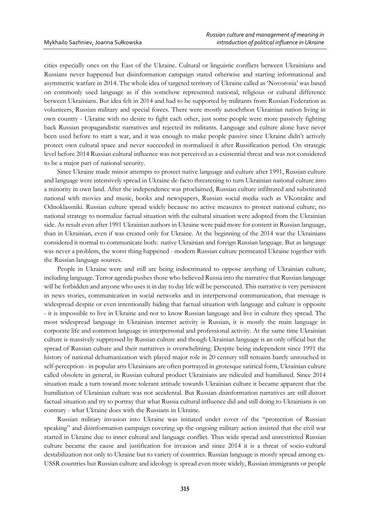cities especially ones on the East of the Ukraine. Cultural or linguistic conflicts between Ukrainians and Russians never happened but disinformation campaign stated otherwise and starting informational and asymmetric warfare in 2014. The whole idea of targeted territory of Ukraine called as 'Novorosia' was based on commonly used language as if this somehow represented national, religious or cultural difference between Ukrainians. But idea felt in 2014 and had to be supported by militants from Russian Federation as volunteers, Russian military and special forces. There were mostly autochthon Ukrainian nation living in own country - Ukraine with no desire to fight each other, just some people were more passively fighting back Russian propagandistic narratives and rejected its militants. Language and culture alone have never been used before to start a war, and it was enough to make people passive since Ukraine didn't actively protect own cultural space and never succeeded in normalized it after Russification period. On strategic level before 2014 Russian cultural influence was not perceived as a existential threat and was not considered to be a major part of national security.

Since Ukraine made minor attempts to protect native language and culture after 1991, Russian culture and language were intensively spread in Ukraine de-facto threatening to turn Ukrainian national culture into a minority in own land. After the independence was proclaimed, Russian culture infiltrated and substituted national with movies and music, books and newspapers, Russian social media such as VKontakte and Odnoklassniki. Russian culture spread widely because no active measures to protect national culture, no national strategy to normalize factual situation with the cultural situation were adopted from the Ukrainian side. As result even after 1991 Ukrainian authors in Ukraine were paid more for content in Russian language, than in Ukrainian, even if was created only for Ukraine. At the beginning of the 2014 war the Ukrainians considered it normal to communicate both: native Ukrainian and foreign Russian language. But as language was never a problem, the worst thing happened - modern Russian culture permeated Ukraine together with the Russian language sources.

People in Ukraine were and still are being indoctrinated to oppose anything of Ukrainian culture, including language. Terror agenda pushes those who believed Russia into the narrative that Russian language will be forbidden and anyone who uses it in day to day life will be persecuted. This narrative is very persistent in news stories, communication in social networks and in interpersonal communication, that message is widespread despite or even intentionally hiding that factual situation with language and culture is opposite - it is impossible to live in Ukraine and not to know Russian language and live in culture they spread. The most widespread language in Ukrainian internet activity is Russian, it is mostly the main language in corporate life and common language in interpersonal and professional activity. At the same time Ukrainian culture is massively suppressed by Russian culture and though Ukrainian language is an only official but the spread of Russian culture and their narratives is overwhelming. Despite being independent since 1991 the history of national dehumanization wich played major role in 20 century still remains barely untouched in self-perception - in popular arts Ukrainians are often portrayed in grotesque satirical form, Ukrainian culture called obsolete in general, in Russian cultural product Ukrainians are ridiculed and humiliated. Since 2014 situation made a turn toward more tolerant attitude towards Ukrainian culture it became apparent that the humiliation of Ukrainian culture was not accidental. But Russian disinformation narratives are still distort factual situation and try to portray that what Russia cultural influence did and still doing to Ukrainians is on contrary - what Ukraine does with the Russians in Ukraine.

Russian military invasion into Ukraine was initiated under cover of the "protection of Russian speaking" and disinformation campaign covering up the ongoing military action insisted that the civil war started in Ukraine due to inner cultural and language conflict. Thus wide spread and unrestricted Russian culture became the cause and justification for invasion and since 2014 it is a threat of socio-cultural destabilization not only to Ukraine but to variety of countries. Russian language is mostly spread among ex-USSR countries but Russian culture and ideology is spread even more widely, Russian immigrants or people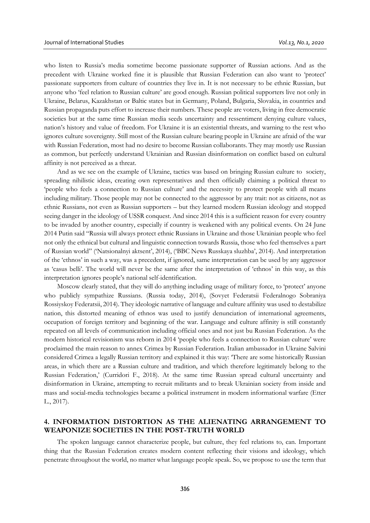who listen to Russia's media sometime become passionate supporter of Russian actions. And as the precedent with Ukraine worked fine it is plausible that Russian Federation can also want to 'protect' passionate supporters from culture of countries they live in. It is not necessary to be ethnic Russian, but anyone who 'feel relation to Russian culture' are good enough. Russian political supporters live not only in Ukraine, Belarus, Kazakhstan or Baltic states but in Germany, Poland, Bulgaria, Slovakia, in countries and Russian propaganda puts effort to increase their numbers. These people are voters, living in free democratic societies but at the same time Russian media seeds uncertainty and ressentiment denying culture values, nation's history and value of freedom. For Ukraine it is an existential threats, and warning to the rest who ignores culture sovereignty. Still most of the Russian culture bearing people in Ukraine are afraid of the war with Russian Federation, most had no desire to become Russian collaborants. They may mostly use Russian as common, but perfectly understand Ukrainian and Russian disinformation on conflict based on cultural affinity is not perceived as a threat.

And as we see on the example of Ukraine, tactics was based on bringing Russian culture to society, spreading nihilistic ideas, creating own representatives and then officially claiming a political threat to 'people who feels a connection to Russian culture' and the necessity to protect people with all means including military. Those people may not be connected to the aggressor by any trait: not as citizens, not as ethnic Russians, not even as Russian supporters – but they learned modern Russian ideology and stopped seeing danger in the ideology of USSR conquest. And since 2014 this is a sufficient reason for every country to be invaded by another country, especially if country is weakened with any political events. On 24 June 2014 Putin said "Russia will always protect ethnic Russians in Ukraine and those Ukrainian people who feel not only the ethnical but cultural and linguistic connection towards Russia, those who feel themselves a part of Russian world" ('Natsionalnyi aktsent', 2014), ('BBC News Russkaya sluzhba', 2014). And interpretation of the 'ethnos' in such a way, was a precedent, if ignored, same interpretation can be used by any aggressor as 'casus belli'. The world will never be the same after the interpretation of 'ethnos' in this way, as this interpretation ignores people's national self-identification.

Moscow clearly stated, that they will do anything including usage of military force, to 'protect' anyone who publicly sympathize Russians. (Russia today, 2014), (Sovyet Federatsii Federalnogo Sobraniya Rossiyskoy Federatsii, 2014). They ideologic narrative of language and culture affinity was used to destabilize nation, this distorted meaning of ethnos was used to justify denunciation of international agreements, occupation of foreign territory and beginning of the war. Language and culture affinity is still constantly repeated on all levels of communication including official ones and not just bu Russian Federation. As the modern historical revisionism was reborn in 2014 'people who feels a connection to Russian culture' were proclaimed the main reason to annex Crimea by Russian Federation. Italian ambassador in Ukraine Salvini considered Crimea a legally Russian territory and explained it this way: 'There are some historically Russian areas, in which there are a Russian culture and tradition, and which therefore legitimately belong to the Russian Federation,' (Curridori F., 2018). At the same time Russian spread cultural uncertainty and disinformation in Ukraine, attempting to recruit militants and to break Ukrainian society from inside and mass and social-media technologies became a political instrument in modern informational warfare (Etter L., 2017).

## **4. INFORMATION DISTORTION AS THE ALIENATING ARRANGEMENT TO WEAPONIZE SOCIETIES IN THE POST-TRUTH WORLD**

The spoken language cannot characterize people, but culture, they feel relations to, can. Important thing that the Russian Federation creates modern content reflecting their visions and ideology, which penetrate throughout the world, no matter what language people speak. So, we propose to use the term that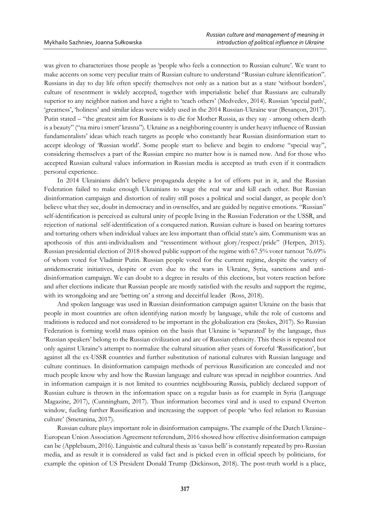was given to characterizes those people as 'people who feels a connection to Russian culture'. We want to make accents on some very peculiar traits of Russian culture to understand "Russian culture identification". Russians in day to day life often specify themselves not only as a nation but as a state 'without borders', culture of resentment is widely accepted, together with imperialistic belief that Russians are culturally superior to any neighbor nation and have a right to 'teach others' (Medvedev, 2014). Russian 'special path', 'greatness', 'holiness' and similar ideas were widely used in the 2014 Russian-Ukraine war (Besançon, 2017). Putin stated – "the greatest aim for Russians is to die for Mother Russia, as they say - among others death is a beauty" ("na miru i smert' krasna"). Ukraine as a neighboring country is under heavy influence of Russian fundamentalists' ideas which reach targets as people who constantly hear Russian disinformation start to accept ideology of 'Russian world'. Some people start to believe and begin to endorse "special way", considering themselves a part of the Russian empire no matter how is is named now. And for those who accepted Russian cultural values information in Russian media is accepted as truth even if it contradicts personal experience.

In 2014 Ukrainians didn't believe propaganda despite a lot of efforts put in it, and the Russian Federation failed to make enough Ukrainians to wage the real war and kill each other. But Russian disinformation campaign and distortion of reality still poses a political and social danger, as people don't believe what they see, doubt in democracy and in ownselfes, and are guided by negative emotions. "Russian" self-identification is perceived as cultural unity of people living in the Russian Federation or the USSR, and rejection of national self-identification of a conquered nation. Russian culture is based on bearing tortures and torturing others when individual values are less important than official state's aim. Communism was an apotheosis of this anti-individualism and "ressentiment without glory/respect/pride" (Herpen, 2015). Russian presidential election of 2018 showed public support of the regime with 67.5% voter turnout 76.69% of whom voted for Vladimir Putin. Russian people voted for the current regime, despite the variety of antidemocratic initiatives, despite or even due to the wars in Ukraine, Syria, sanctions and antidisinformation campaign. We can doubt to a degree in results of this elections, but voters reaction before and after elections indicate that Russian people are mostly satisfied with the results and support the regime, with its wrongdoing and are 'betting on' a strong and deceitful leader (Ross, 2018).

And spoken language was used in Russian disinformation campaign against Ukraine on the basis that people in most countries are often identifying nation mostly by language, while the role of customs and traditions is reduced and not considered to be important in the globalization era (Stokes, 2017). So Russian Federation is forming world mass opinion on the basis that Ukraine is 'separated' by the language, thus 'Russian speakers' belong to the Russian civilization and are of Russian ethnicity. This thesis is repeated not only against Ukraine's attempt to normalize the cultural situation after years of forceful 'Russification', but against all the ex-USSR countries and further substitution of national cultures with Russian language and culture continues. In disinformation campaign methods of pervious Russification are concealed and not much people know why and how the Russian language and culture was spread in neighbor countries. And in information campaign it is not limited to countries neighbouring Russia, publicly declared support of Russian culture is thrown in the information space on a regular basis as for example in Syria (Language Magazine, 2017), (Cunningham, 2017). Thus information becomes viral and is used to expand Overton window, fueling further Russification and increasing the support of people 'who feel relation to Russian culture' (Smetanina, 2017).

Russian culture plays important role in disinformation campaigns. The example of the Dutch Ukraine– European Union Association Agreement referendum, 2016 showed how effective disinformation campaign can be (Applebaum, 2016). Linguistic and cultural thesis as 'casus belli' is constantly repeated by pro-Russian media, and as result it is considered as valid fact and is picked even in official speech by politicians, for example the opinion of US President Donald Trump (Dickinson, 2018). The post-truth world is a place,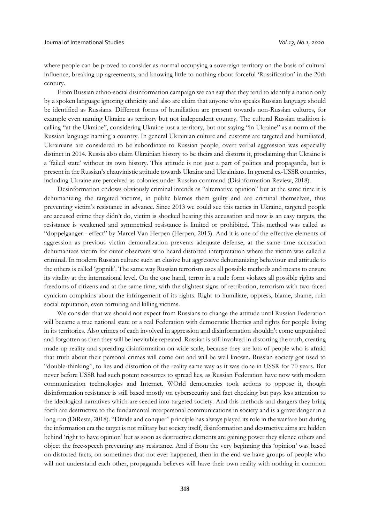where people can be proved to consider as normal occupying a sovereign territory on the basis of cultural influence, breaking up agreements, and knowing little to nothing about forceful 'Russification' in the 20th century.

From Russian ethno-social disinformation campaign we can say that they tend to identify a nation only by a spoken language ignoring ethnicity and also are claim that anyone who speaks Russian language should be identified as Russians. Different forms of humiliation are present towards non-Russian cultures, for example even naming Ukraine as territory but not independent country. The cultural Russian tradition is calling "at the Ukraine", considering Ukraine just a territory, but not saying "in Ukraine" as a norm of the Russian language naming a country. In general Ukrainian culture and customs are targeted and humiliated, Ukrainians are considered to be subordinate to Russian people, overt verbal aggression was especially distinct in 2014. Russia also claim Ukrainian history to be theirs and distorts it, proclaiming that Ukraine is a 'failed state' without its own history. This attitude is not just a part of politics and propaganda, but is present in the Russian's chauvinistic attitude towards Ukraine and Ukrainians. In general ex-USSR countries, including Ukraine are perceived as colonies under Russian command (Disinformation Review, 2018).

Desinformation endows obviously criminal intends as "alternative opinion" but at the same time it is dehumanizing the targeted victims, in public blames them guilty and are criminal themselves, thus preventing victim's resistance in advance. Since 2013 we could see this tactics in Ukraine, targeted people are accused crime they didn't do, victim is shocked hearing this accusation and now is an easy targets, the resistance is weakened and symmetrical resistance is limited or prohibited. This method was called as "doppelganger - effect" by Marcel Van Herpen (Herpen, 2015). And it is one of the effective elements of aggression as previous victim demoralization prevents adequate defense, at the same time accusation dehumanizes victim for outer observers who heard distorted interpretation where the victim was called a criminal. In modern Russian culture such an elusive but aggressive dehumanizing behaviour and attitude to the others is called 'gopnik'. The same way Russian terrorism uses all possible methods and means to ensure its vitality at the international level. On the one hand, terror in a rude form violates all possible rights and freedoms of citizens and at the same time, with the slightest signs of retribution, terrorism with two-faced cynicism complains about the infringement of its rights. Right to humiliate, oppress, blame, shame, ruin social reputation, even torturing and killing victims.

We consider that we should not expect from Russians to change the attitude until Russian Federation will became a true national state or a real Federation with democratic liberties and rights for people living in its territories. Also crimes of each involved in aggression and disinformation shouldn't come unpunished and forgotten as then they will be inevitable repeated. Russian is still involved in distorting the truth, creating made-up reality and spreading disinformation on wide scale, because they are lots of people who is afraid that truth about their personal crimes will come out and will be well known. Russian society got used to "double-thinking", to lies and distortion of the reality same way as it was done in USSR for 70 years. But never before USSR had such potent resources to spread lies, as Russian Federation have now with modern communication technologies and Internet. WOrld democracies took actions to oppose it, though disinformation resistance is still based mostly on cybersecurity and fact checking but pays less attention to the ideological narratives which are seeded into targeted society. And this methods and dangers they bring forth are destructive to the fundamental interpersonal communications in society and is a grave danger in a long run (DiResta, 2018). "Divide and conquer" principle has always played its role in the warfare but during the information era the target is not military but society itself, disinformation and destructive aims are hidden behind 'right to have opinion' but as soon as destructive elements are gaining power they silence others and object the free-speech preventing any resistance. And if from the very beginning this 'opinion' was based on distorted facts, on sometimes that not ever happened, then in the end we have groups of people who will not understand each other, propaganda believes will have their own reality with nothing in common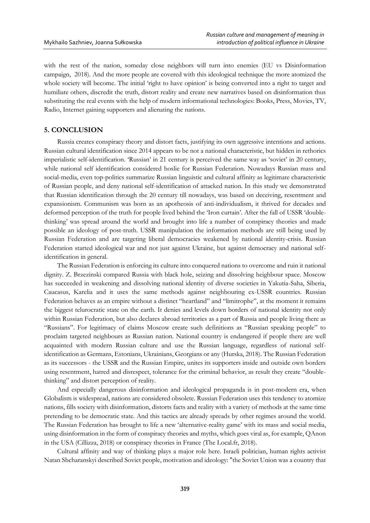with the rest of the nation, someday close neighbors will turn into enemies (EU vs Disinformation campaign, 2018). And the more people are covered with this ideological technique the more atomized the whole society will become. The initial 'right to have opinion' is being converted into a right to target and humiliate others, discredit the truth, distort reality and create new narratives based on disinformation thus substituting the real events with the help of modern informational technologies: Books, Press, Movies, TV, Radio, Internet gaining supporters and alienating the nations.

### **5. CONCLUSION**

Russia creates conspiracy theory and distort facts, justifying its own aggressive intentions and actions. Russian cultural identification since 2014 appears to be not a national characteristic, but hidden in rethorics imperialistic self-identification. 'Russian' in 21 century is perceived the same way as 'soviet' in 20 century, while national self identification considered hoslie for Russian Federation. Nowadays Russian mass and social-media, even top-politics summarize Russian linguistic and cultural affinity as legitimate characteristic of Russian people, and deny national self-identification of attacked nation. In this study we demonstrated that Russian identification through the 20 century till nowadays, was based on deceiving, resentment and expansionism. Communism was born as an apotheosis of anti-individualism, it thrived for decades and deformed perception of the truth for people lived behind the 'Iron curtain'. After the fall of USSR 'doublethinking' was spread around the world and brought into life a number of conspiracy theories and made possible an ideology of post-truth. USSR manipulation the information methods are still being used by Russian Federation and are targeting liberal democracies weakened by national identity-crisis. Russian Federation started ideological war and not just against Ukraine, but against democracy and national selfidentification in general.

The Russian Federation is enforcing its culture into conquered nations to overcome and ruin it national dignity. Z. Brzezinski compared Russia with black hole, seizing and dissolving heighbour space. Moscow has succeeded in weakening and dissolving national identity of diverse societies in Yakutia-Saha, Siberia, Caucasus, Karelia and it uses the same methods against neighbouring ex-USSR countries. Russian Federation behaves as an empire without a distinct "heartland" and "limitrophe", at the moment it remains the biggest telurocratic state on the earth. It denies and levels down borders of national identity not only within Russian Federation, but also declares abroad territories as a part of Russia and people living there as "Russians". For legitimacy of claims Moscow create such definitions as "Russian speaking people" to proclaim targeted neighbours as Russian nation. National country is endangered if people there are well acquainted with modern Russian culture and use the Russian language, regardless of national selfidentification as Germans, Estonians, Ukrainians, Georgians or any (Hurska, 2018). The Russian Federation as its successors - the USSR and the Russian Empire, unites its supporters inside and outside own borders using resentment, hatred and disrespect, tolerance for the criminal behavior, as result they create "doublethinking" and distort perception of reality.

And especially dangerous disinformation and ideological propaganda is in post-modern era, when Globalism is widespread, nations are considered obsolete. Russian Federation uses this tendency to atomize nations, fills society with disinformation, distorts facts and reality with a variety of methods at the same time pretending to be democratic state. And this tactics are already spreads by other regimes around the world. The Russian Federation has brought to life a new 'alternative-reality game' with its mass and social media, using disinformation in the form of conspiracy theories and myths, which goes viral as, for example, QAnon in the USA (Cillizza, 2018) or conspiracy theories in France (The Local.fr, 2018).

Cultural affinity and way of thinking plays a major role here. Israeli politician, human rights activist Natan Shcharanskyi described Soviet people, motivation and ideology: "the Soviet Union was a country that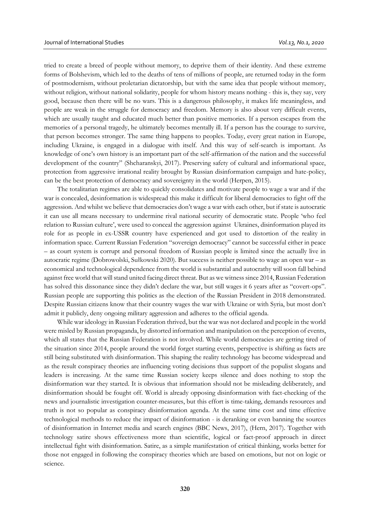tried to create a breed of people without memory, to deprive them of their identity. And these extreme forms of Bolshevism, which led to the deaths of tens of millions of people, are returned today in the form of postmodernism, without proletarian dictatorship, but with the same idea that people without memory, without religion, without national solidarity, people for whom history means nothing - this is, they say, very good, because then there will be no wars. This is a dangerous philosophy, it makes life meaningless, and people are weak in the struggle for democracy and freedom. Memory is also about very difficult events, which are usually taught and educated much better than positive memories. If a person escapes from the memories of a personal tragedy, he ultimately becomes mentally ill. If a person has the courage to survive, that person becomes stronger. The same thing happens to peoples. Today, every great nation in Europe, including Ukraine, is engaged in a dialogue with itself. And this way of self-search is important. As knowledge of one's own history is an important part of the self-affirmation of the nation and the successful development of the country" (Shcharanskyi, 2017). Preserving safety of cultural and informational space, protection from aggressive irrational reality brought by Russian disinformation campaign and hate-policy, can be the best protection of democracy and sovereignty in the world (Herpen, 2015).

The totalitarian regimes are able to quickly consolidates and motivate people to wage a war and if the war is concealed, desinformation is widespread this make it difficult for liberal democracies to fight off the aggression. And whilst we believe that democracies don't wage a war with each other, but if state is autocratic it can use all means necessary to undermine rival national security of democratic state. People 'who feel relation to Russian culture', were used to conceal the aggression against Ukraines, disinformation played its role for as people in ex-USSR country have experienced and got used to distortion of the reality in information space. Current Russian Federation "sovereign democracy" cannot be successful either in peace – as court system is corrupt and personal freedom of Russian people is limited since the actually live in autocratic regime (Dobrowolski, Sułkowski 2020). But success is neither possible to wage an open war – as economical and technological dependence from the world is substantial and autocrathy will soon fall behind against free world that will stand united facing direct threat. But as we witness since 2014, Russian Federation has solved this dissonance since they didn't declare the war, but still wages it 6 years after as "covert-ops". Russian people are supporting this politics as the election of the Russian President in 2018 demonstrated. Despite Russian citizens know that their country wages the war with Ukraine or with Syria, but most don't admit it publicly, deny ongoing military aggression and adheres to the official agenda.

While war ideology in Russian Federation thrived, but the war was not declared and people in the world were misled by Russian propaganda, by distorted information and manipulation on the perception of events, which all states that the Russian Federation is not involved. While world democracies are getting tired of the situation since 2014, people around the world forget starting events, perspective is shifting as facts are still being substituted with disinformation. This shaping the reality technology has become widespread and as the result conspiracy theories are influencing voting decisions thus support of the populist slogans and leaders is increasing. At the same time Russian society keeps silence and does nothing to stop the disinformation war they started. It is obvious that information should not be misleading deliberately, and disinformation should be fought off. World is already opposing disinformation with fact-checking of the news and journalistic investigation counter-measures, but this effort is time-taking, demands resources and truth is not so popular as conspiracy disinformation agenda. At the same time cost and time effective technological methods to reduce the impact of disinformation - is deranking or even banning the sources of disinformation in Internet media and search engines (BBC News, 2017), (Hern, 2017). Together with technology satire shows effectiveness more than scientific, logical or fact-proof approach in direct intellectual fight with disinformation. Satire, as a simple manifestation of critical thinking, works better for those not engaged in following the conspiracy theories which are based on emotions, but not on logic or science.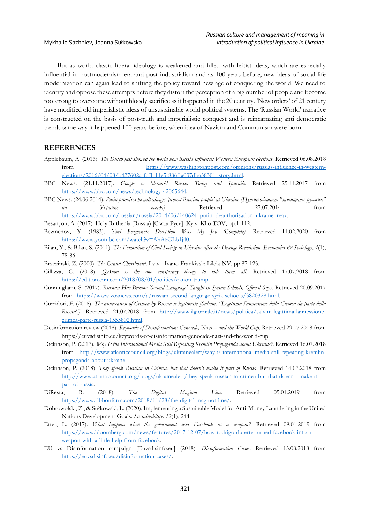But as world classic liberal ideology is weakened and filled with leftist ideas, which are especially influential in postmodernism era and post industrialism and as 100 years before, new ideas of social life modernization can again lead to shifting the policy toward new age of conquering the world. We need to identify and oppose these attempts before they distort the perception of a big number of people and become too strong to overcome without bloody sacrifice as it happened in the 20 century. 'New orders' of 21 century have modified old imperialistic ideas of unsustainable world political systems. The 'Russian World' narrative is constructed on the basis of post-truth and imperialistic conquest and is reincarnating anti democratic trends same way it happened 100 years before, when idea of Nazism and Communism were born.

### **REFERENCES**

- Applebaum, A. (2016). *The Dutch just showed the world how Russia influences Western European elections*. Retrieved 06.08.2018 from [https://www.washingtonpost.com/opinions/russias-influence-in-western](https://www.washingtonpost.com/opinions/russias-influence-in-western-elections/2016/04/08/b427602a-fcf1-11e5-886f-a037dba38301_story.html)[elections/2016/04/08/b427602a-fcf1-11e5-886f-a037dba38301\\_story.html.](https://www.washingtonpost.com/opinions/russias-influence-in-western-elections/2016/04/08/b427602a-fcf1-11e5-886f-a037dba38301_story.html)
- BBC News. (21.11.2017). *Google to 'derank' Russia Today and Sputnik*. Retrieved 25.11.2017 from [https://www.bbc.com/news/technology-42065644.](https://www.bbc.com/news/technology-42065644)
- BBC News. (24.06.2014). *Putin promises he will always 'protect Russian people' at Ukraine [Путин обещает "защищать русских" на Украине всегда]*. Retrieved 27.07.2014 from [https://www.bbc.com/russian/russia/2014/06/140624\\_putin\\_deauthorisation\\_ukraine\\_reax.](https://www.bbc.com/russian/russia/2014/06/140624_putin_deauthorisation_ukraine_reax)

Besançon, A. (2017). Holy Ruthenia (Russia) [Свята Русь]. Kyiv: Klio TOV, pp.1-112.

- Bezmenov, Y. (1983). *Yuri Bezmenov: Deception Was My Job (Complete).* Retrieved 11.02.2020 from [https://www.youtube.com/watch?v=AhAzGLb1j40.](https://www.youtube.com/watch?v=AhAzGLb1j40)
- Bilan, Y., & Bilan, S. (2011). *The Formation of Civil Society in Ukraine after the Orange Revolution*. *Economics & Sociology*, *4*(1), 78-86.
- Brzezinski, Z. (2000). *The Grand Chessboard*. Lviv Ivano-Frankivsk: Lileia-NV, pp.87-123.
- Cillizza, C. (2018). *QAnon is the one conspiracy theory to rule them all*. Retrieved 17.07.2018 from [https://edition.cnn.com/2018/08/01/politics/qanon-trump.](https://edition.cnn.com/2018/08/01/politics/qanon-trump)
- Cunningham, S. (2017). *Russian Has Become 'Second Language' Taught in Syrian Schools, Official Says*. Retrieved 20.09.2017 from [https://www.voanews.com/a/russian-second-language-syria-schools/3820328.html.](https://www.voanews.com/a/russian-second-language-syria-schools/3820328.html)
- Curridori, F. (2018). *The annexation of Crimea by Russia is legitimate [Salvini: "Legittima l'annessione della Crimea da parte della Russia"]*. Retrieved 21.07.2018 from [http://www.ilgiornale.it/news/politica/salvini-legittima-lannessione](http://www.ilgiornale.it/news/politica/salvini-legittima-lannessione-crimea-parte-russia-1555802.html)[crimea-parte-russia-1555802.html.](http://www.ilgiornale.it/news/politica/salvini-legittima-lannessione-crimea-parte-russia-1555802.html)
- Desinformation review (2018). *Keywords of Disinformation: Genocide, Nazi – and the World Cup*. Retrieved 29.07.2018 from https://euvsdisinfo.eu/keywords-of-disinformation-genocide-nazi-and-the-world-cup.
- Dickinson, P. (2017). *Why Is the International Media Still Repeating Kremlin Propaganda about Ukraine?*. Retrieved 16.07.2018 from [http://www.atlanticcouncil.org/blogs/ukrainealert/why-is-international-media-still-repeating-kremlin](http://www.atlanticcouncil.org/blogs/ukrainealert/why-is-international-media-still-repeating-kremlin-propaganda-about-ukraine)[propaganda-about-ukraine.](http://www.atlanticcouncil.org/blogs/ukrainealert/why-is-international-media-still-repeating-kremlin-propaganda-about-ukraine)
- Dickinson, P. (2018). *They speak Russian in Crimea, but that doesn't make it part of Russia*. Retrieved 14.07.2018 from [http://www.atlanticcouncil.org/blogs/ukrainealert/they-speak-russian-in-crimea-but-that-doesn-t-make-it](http://www.atlanticcouncil.org/blogs/ukrainealert/they-speak-russian-in-crimea-but-that-doesn-t-make-it-part-of-russia)[part-of-russia.](http://www.atlanticcouncil.org/blogs/ukrainealert/they-speak-russian-in-crimea-but-that-doesn-t-make-it-part-of-russia)
- DiResta, R. (2018). *The Digital Maginot Line*. Retrieved 05.01.2019 from [https://www.ribbonfarm.com/2018/11/28/the-digital-maginot-line/.](https://www.ribbonfarm.com/2018/11/28/the-digital-maginot-line/)
- Dobrowolski, Z., & Sułkowski, Ł. (2020). Implementing a Sustainable Model for Anti-Money Laundering in the United Nations Development Goals. *Sustainability, 12*(1), 244.
- Etter, L. (2017). *What happens when the government uses Facebook as a weapon?*. Retrieved 09.01.2019 from [https://www.bloomberg.com/news/features/2017-12-07/how-rodrigo-duterte-turned-facebook-into-a](https://www.bloomberg.com/news/features/2017-12-07/how-rodrigo-duterte-turned-facebook-into-a-weapon-with-a-little-help-from-facebook)[weapon-with-a-little-help-from-facebook.](https://www.bloomberg.com/news/features/2017-12-07/how-rodrigo-duterte-turned-facebook-into-a-weapon-with-a-little-help-from-facebook)
- EU vs Disinformation campaign [Euvsdisinfo.eu] (2018). *Disinformation Cases*. Retrieved 13.08.2018 from [https://euvsdisinfo.eu/disinformation-cases/.](https://euvsdisinfo.eu/disinformation-cases/)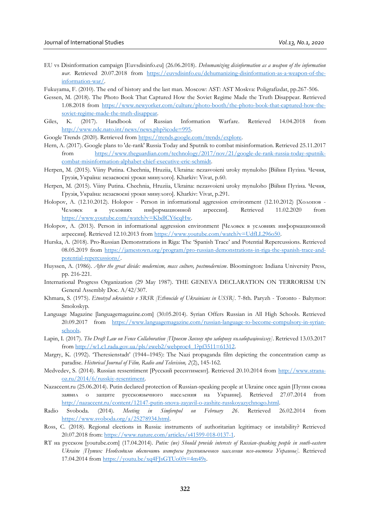EU vs Disinformation campaign [Euvsdisinfo.eu] (26.06.2018). *Dehumanizing disinformation as a weapon of the information war*. Retrieved 20.07.2018 from [https://euvsdisinfo.eu/dehumanizing-disinformation-as-a-weapon-of-the](https://euvsdisinfo.eu/dehumanizing-disinformation-as-a-weapon-of-the-information-war/)[information-war/.](https://euvsdisinfo.eu/dehumanizing-disinformation-as-a-weapon-of-the-information-war/)

Fukuyama, F. (2010). The end of history and the last man. Moscow: AST: AST Moskva: Poligrafizdat, pp.267-506.

- Gessen, M. (2018). The Photo Book That Captured How the Soviet Regime Made the Truth Disappear. Retrieved 1.08.2018 from [https://www.newyorker.com/culture/photo-booth/the-photo-book-that-captured-how-the](https://www.newyorker.com/culture/photo-booth/the-photo-book-that-captured-how-the-soviet-regime-made-the-truth-disappear)[soviet-regime-made-the-truth-disappear.](https://www.newyorker.com/culture/photo-booth/the-photo-book-that-captured-how-the-soviet-regime-made-the-truth-disappear)
- Giles, K. (2017). Handbook of Russian Information Warfare. Retrieved 14.04.2018 from [http://www.ndc.nato.int/news/news.php?icode=995.](http://www.ndc.nato.int/news/news.php?icode=995)
- Google Trends (2020). Retrieved from [https://trends.google.com/trends/explore.](https://trends.google.com/trends/explore)
- Hern, A. (2017). Google plans to 'de-rank' Russia Today and Sputnik to combat misinformation. Retrieved 25.11.2017 from [https://www.theguardian.com/technology/2017/nov/21/google-de-rank-russia-today-sputnik](https://www.theguardian.com/technology/2017/nov/21/google-de-rank-russia-today-sputnik-combat-misinformation-alphabet-chief-executive-eric-schmidt)[combat-misinformation-alphabet-chief-executive-eric-schmidt.](https://www.theguardian.com/technology/2017/nov/21/google-de-rank-russia-today-sputnik-combat-misinformation-alphabet-chief-executive-eric-schmidt)
- Herpen, M. (2015). Viiny Putina. Chechnia, Hruziia, Ukraina: nezasvoieni uroky mynuloho [Війни Путіна. Чечня, Грузія, Україна: незасвоєні уроки минулого]. Kharkiv: Vivat, p.60.
- Herpen, M. (2015). Viiny Putina. Chechnia, Hruziia, Ukraina: nezasvoieni uroky mynuloho [Війни Путіна. Чечня, Грузія, Україна: незасвоєні уроки минулого]. Kharkiv: Vivat, p.291.
- Holopov, A. (12.10.2012). Holopov Person in informational aggression environment (12.10.2012) [Холопов Человек в условиях информационной агрессии]. Retrieved 11.02.2020 from [https://www.youtube.com/watch?v=KbdlCY6cqHw.](https://www.youtube.com/watch?v=KbdlCY6cqHw)
- Holopov, A. (2013). Person in informational aggression environment [Человек в условиях информационной агрессии]. Retrieved 12.10.2013 from [https://www.youtube.com/watch?v=UdfLL296o50.](https://www.youtube.com/watch?v=UdfLL296o50)
- Hurska, A. (2018). Pro-Russian Demonstrations in Riga: The 'Spanish Trace' and Potential Repercussions. Retrieved 08.05.2019 from [https://jamestown.org/program/pro-russian-demonstrations-in-riga-the-spanish-trace-and](https://jamestown.org/program/pro-russian-demonstrations-in-riga-the-spanish-trace-and-potential-repercussions/)[potential-repercussions/.](https://jamestown.org/program/pro-russian-demonstrations-in-riga-the-spanish-trace-and-potential-repercussions/)
- Huyssen, A. (1986). *After the great divide: modernism, mass culture, postmodernism*. Bloomington: Indiana University Press, pp. 216-221.
- International Progress Organization (29 May 1987). THE GENEVA DECLARATION ON TERRORISM UN General Assembly Doc. A/42/307.
- Khmara, S. (1975). *Etnotsyd ukraintsiv v SRSR [Ethnocide of Ukrainians in USSR]*. 7-8th. Paryzh Toronto Baltymor: Smoloskyp.
- Language Magazine [languagemagazine.com] (30.05.2014). Syrian Offers Russian in All High Schools. Retrieved 20.09.2017 from [https://www.languagemagazine.com/russian-language-to-become-compulsory-in-syrian](https://www.languagemagazine.com/russian-language-to-become-compulsory-in-syrian-schools)[schools.](https://www.languagemagazine.com/russian-language-to-become-compulsory-in-syrian-schools)
- Lapin, I. (2017). *The Draft Law on Fence Collaboration [Проект Закону про заборону колабораціонізму]*. Retrieved 13.03.2017 from  $\frac{\text{http://w1.c1.rada.gov.ua/pls/zweb2/webproc4}1?pf3511=61312.}$
- Margry, K. (1992). 'Theresienstadt' (1944–1945): The Nazi propaganda film depicting the concentration camp as paradise. *Historical Journal of Film, Radio and Television, 2*(2), 145-162.
- Medvedev, S. (2014). Russian ressentiment [Русский ресентимент]. Retrieved 20.10.2014 from [http://www.strana](http://www.strana-oz.ru/2014/6/russkiy-resentiment)[oz.ru/2014/6/russkiy-resentiment.](http://www.strana-oz.ru/2014/6/russkiy-resentiment)
- Nazaccent.ru (25.06.2014). Putin declared protection of Russian-speaking people at Ukraine once again [Путин снова заявил о защите русскоязычного населения на Украине]. Retrieved 27.07.2014 from [http://nazaccent.ru/content/12147-putin-snova-zayavil-o-zashite-russkoyazychnogo.html.](http://nazaccent.ru/content/12147-putin-snova-zayavil-o-zashite-russkoyazychnogo.html)
- Radio Svoboda. (2014). *Meeting in Simferopol on February 26*. Retrieved 26.02.2014 from [https://www.svoboda.org/a/25278934.html.](https://www.svoboda.org/a/25278934.html)
- Ross, C. (2018). Regional elections in Russia: instruments of authoritarian legitimacy or instability? Retrieved 20.07.2018 from[: https://www.nature.com/articles/s41599-018-0137-1.](https://www.nature.com/articles/s41599-018-0137-1)
- RT на русском [youtube.com] (17.04.2014). *Putin: (we) Should provide interests of Russian-speaking people in south-eastern Ukraine [Путин: Необходимо обеспечить интересы русскоязычного населения юго-востока Украины]*. Retrieved 17.04.2014 from [https://youtu.be/xq4FJsGTUo0?t=4m49s.](https://youtu.be/xq4FJsGTUo0?t=4m49s)